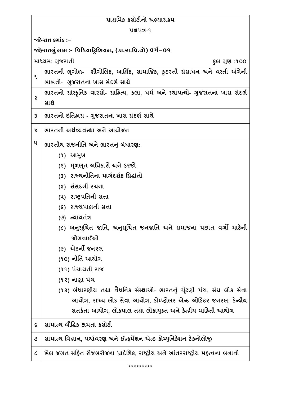| પ્રાથમિક કસોટીનો અભ્યાસક્રમ                               |                                                                                |  |
|-----------------------------------------------------------|--------------------------------------------------------------------------------|--|
| yaux-9                                                    |                                                                                |  |
| જાહેરાત ક્રમાંક :−                                        |                                                                                |  |
| ર્જાહેરાતનું નામ :- પિડિયાટ્રિશિયન, (કા.રા.વિ.યો) વર્ગ−09 |                                                                                |  |
|                                                           | માધ્યમ: ગુજરાતી<br>કુલ ગુણ :૧૦૦                                                |  |
| ٩                                                         | ભારતની ભૂગોળ- ભૌગોલિક, આર્થિક, સામાજિક, કુદરતી સંસાધન અને વસ્તી અંગેની         |  |
|                                                           | બાબતો- ગુજરાતના ખાસ સંદર્ભ સાથે                                                |  |
| Ş                                                         | ભારતનો સાંસ્કૃતિક વારસો- સાહિત્ય, કલા, ધર્મ અને સ્થાપત્યો- ગુજરાતના ખાસ સંદર્ભ |  |
|                                                           | સાથે                                                                           |  |
| $\mathsf{3}$                                              | ભારતનો ઇતિહ્રાસ - ગુજરાતના ખાસ સંદર્ભ સાથે                                     |  |
| Χ                                                         | ભારતની અર્થવ્યવસ્થા અને આયોજન                                                  |  |
| ૫                                                         | ભારતીય રાજનીતિ અને ભારતનું બંધારણ:                                             |  |
|                                                           | (૧) આમુખ                                                                       |  |
|                                                           | (૨) મૂળભૂત અધિકારો અને ફરજો                                                    |  |
|                                                           | (3) રાજ્યનીતિના માર્ગદર્શક સિદ્ધાંતો                                           |  |
|                                                           | (४) સંસદની રચના                                                                |  |
|                                                           | (૫) રાષ્ટ્રપતિની સત્તા                                                         |  |
|                                                           | (૬) રાજ્યપાલની સત્તા                                                           |  |
|                                                           | (૭) ન્યાયતંત્ર                                                                 |  |
|                                                           | (૮) અનુસૂચિત જાતિ, અનુસૂચિત જનજાતિ અને સમાજના પછાત વર્ગો માટેની                |  |
|                                                           | જોગવાઈઓ                                                                        |  |
|                                                           | <i>(૯)</i> એટર્ની જનરલ                                                         |  |
|                                                           | (૧૦) નીતિ આયોગ                                                                 |  |
|                                                           | (૧૧) પંચાયતી રાજ                                                               |  |
|                                                           | (૧૨) નાણા પંચ                                                                  |  |
|                                                           | (૧૩) બંધારણીય તથા વૈધનિક સંસ્થાઓ- ભારતનું યૂંટણી પંચ, સંઘ લોક સેવા             |  |
|                                                           | આયોગ, રાજ્ય લોક સેવા આયોગ, કોમ્પ્ટ્રોલર એન્ડ ઓડિટર જનરલ; કેન્દ્રીય             |  |
|                                                           | સતર્કતા આયોગ, લોકપાલ તથા લોકાયુક્ત અને કેન્દ્રીય માહિતી આયોગ                   |  |
| $\boldsymbol{\varsigma}$                                  | સામાન્ચ બૌદ્ધિક ક્ષમતા કસોટી                                                   |  |
| ٯ                                                         | સામાન્ય વિજ્ઞાન, પર્યાવરણ અને ઈન્ફર્મેશન એન્ડ કોમ્યુનિકેશન ટેકનોલોજી           |  |
| $\mathcal C$                                              | ખેલ જગત સહિત રોજબરોજના પ્રાદેશિક, રાષ્ટ્રીય અને આંતરરાષ્ટ્રીય મહ્ત્વના બનાવો   |  |
|                                                           | *********                                                                      |  |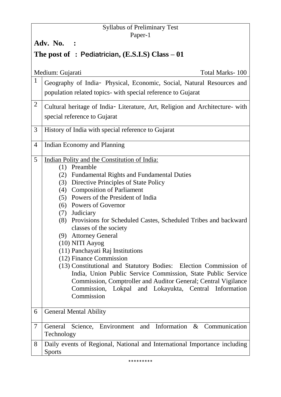### Syllabus of Preliminary Test Paper-1

**Adv. No. :** 

## **The post of : Pediatrician, (E.S.I.S) Class – 01**

|                | Total Marks-100<br>Medium: Gujarati                                                                                            |  |
|----------------|--------------------------------------------------------------------------------------------------------------------------------|--|
| $\mathbf{1}$   | Geography of India- Physical, Economic, Social, Natural Resources and                                                          |  |
|                | population related topics- with special reference to Gujarat                                                                   |  |
| $\overline{2}$ | Cultural heritage of India- Literature, Art, Religion and Architecture- with                                                   |  |
|                | special reference to Gujarat                                                                                                   |  |
| 3              | History of India with special reference to Gujarat                                                                             |  |
| 4              | Indian Economy and Planning                                                                                                    |  |
| 5              | Indian Polity and the Constitution of India:                                                                                   |  |
|                | Preamble<br>(1)                                                                                                                |  |
|                | <b>Fundamental Rights and Fundamental Duties</b><br>(2)                                                                        |  |
|                | (3) Directive Principles of State Policy                                                                                       |  |
|                | (4) Composition of Parliament<br>(5) Powers of the President of India                                                          |  |
|                | (6) Powers of Governor                                                                                                         |  |
|                | (7) Judiciary                                                                                                                  |  |
|                | (8) Provisions for Scheduled Castes, Scheduled Tribes and backward                                                             |  |
|                | classes of the society                                                                                                         |  |
|                | (9) Attorney General                                                                                                           |  |
|                | (10) NITI Aayog                                                                                                                |  |
|                | (11) Panchayati Raj Institutions                                                                                               |  |
|                | (12) Finance Commission                                                                                                        |  |
|                | (13) Constitutional and Statutory Bodies: Election Commission of                                                               |  |
|                | India, Union Public Service Commission, State Public Service<br>Commission, Comptroller and Auditor General; Central Vigilance |  |
|                | Commission, Lokpal and Lokayukta, Central Information                                                                          |  |
|                | Commission                                                                                                                     |  |
|                |                                                                                                                                |  |
| 6              | <b>General Mental Ability</b>                                                                                                  |  |
| 7              | Science, Environment and Information & Communication<br>General<br>Technology                                                  |  |
| 8              | Daily events of Regional, National and International Importance including<br><b>Sports</b>                                     |  |
|                |                                                                                                                                |  |

\*\*\*\*\*\*\*\*\*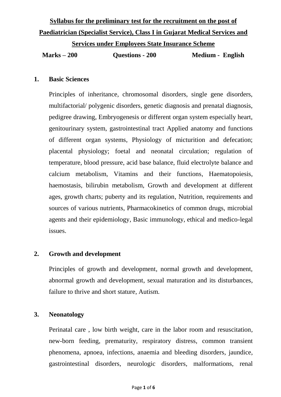# **Syllabus for the preliminary test for the recruitment on the post of Paediatrician (Specialist Service), Class I in Gujarat Medical Services and**

**Services under Employees State Insurance Scheme**

**Marks – 200 Questions - 200 Medium - English**

#### **1. Basic Sciences**

Principles of inheritance, chromosomal disorders, single gene disorders, multifactorial/ polygenic disorders, genetic diagnosis and prenatal diagnosis, pedigree drawing, Embryogenesis or different organ system especially heart, genitourinary system, gastrointestinal tract Applied anatomy and functions of different organ systems, Physiology of micturition and defecation; placental physiology; foetal and neonatal circulation; regulation of temperature, blood pressure, acid base balance, fluid electrolyte balance and calcium metabolism, Vitamins and their functions, Haematopoiesis, haemostasis, bilirubin metabolism, Growth and development at different ages, growth charts; puberty and its regulation, Nutrition, requirements and sources of various nutrients, Pharmacokinetics of common drugs, microbial agents and their epidemiology, Basic immunology, ethical and medico-legal issues.

#### **2. Growth and development**

Principles of growth and development, normal growth and development, abnormal growth and development, sexual maturation and its disturbances, failure to thrive and short stature, Autism.

#### **3. Neonatology**

Perinatal care , low birth weight, care in the labor room and resuscitation, new-born feeding, prematurity, respiratory distress, common transient phenomena, apnoea, infections, anaemia and bleeding disorders, jaundice, gastrointestinal disorders, neurologic disorders, malformations, renal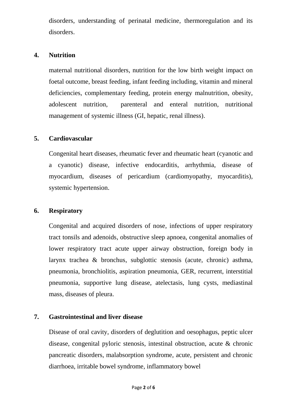disorders, understanding of perinatal medicine, thermoregulation and its disorders.

#### **4. Nutrition**

maternal nutritional disorders, nutrition for the low birth weight impact on foetal outcome, breast feeding, infant feeding including, vitamin and mineral deficiencies, complementary feeding, protein energy malnutrition, obesity, adolescent nutrition, parenteral and enteral nutrition, nutritional management of systemic illness (GI, hepatic, renal illness).

#### **5. Cardiovascular**

Congenital heart diseases, rheumatic fever and rheumatic heart (cyanotic and a cyanotic) disease, infective endocarditis, arrhythmia, disease of myocardium, diseases of pericardium (cardiomyopathy, myocarditis), systemic hypertension.

#### **6. Respiratory**

Congenital and acquired disorders of nose, infections of upper respiratory tract tonsils and adenoids, obstructive sleep apnoea, congenital anomalies of lower respiratory tract acute upper airway obstruction, foreign body in larynx trachea & bronchus, subglottic stenosis (acute, chronic) asthma, pneumonia, bronchiolitis, aspiration pneumonia, GER, recurrent, interstitial pneumonia, supportive lung disease, atelectasis, lung cysts, mediastinal mass, diseases of pleura.

#### **7. Gastrointestinal and liver disease**

Disease of oral cavity, disorders of deglutition and oesophagus, peptic ulcer disease, congenital pyloric stenosis, intestinal obstruction, acute & chronic pancreatic disorders, malabsorption syndrome, acute, persistent and chronic diarrhoea, irritable bowel syndrome, inflammatory bowel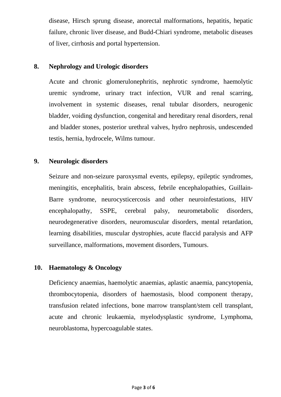disease, Hirsch sprung disease, anorectal malformations, hepatitis, hepatic failure, chronic liver disease, and Budd-Chiari syndrome, metabolic diseases of liver, cirrhosis and portal hypertension.

#### **8. Nephrology and Urologic disorders**

Acute and chronic glomerulonephritis, nephrotic syndrome, haemolytic uremic syndrome, urinary tract infection, VUR and renal scarring, involvement in systemic diseases, renal tubular disorders, neurogenic bladder, voiding dysfunction, congenital and hereditary renal disorders, renal and bladder stones, posterior urethral valves, hydro nephrosis, undescended testis, hernia, hydrocele, Wilms tumour.

#### **9. Neurologic disorders**

Seizure and non-seizure paroxysmal events, epilepsy, epileptic syndromes, meningitis, encephalitis, brain abscess, febrile encephalopathies, Guillain-Barre syndrome, neurocysticercosis and other neuroinfestations, HIV encephalopathy, SSPE, cerebral palsy, neurometabolic disorders, neurodegenerative disorders, neuromuscular disorders, mental retardation, learning disabilities, muscular dystrophies, acute flaccid paralysis and AFP surveillance, malformations, movement disorders, Tumours.

#### **10. Haematology & Oncology**

Deficiency anaemias, haemolytic anaemias, aplastic anaemia, pancytopenia, thrombocytopenia, disorders of haemostasis, blood component therapy, transfusion related infections, bone marrow transplant/stem cell transplant, acute and chronic leukaemia, myelodysplastic syndrome, Lymphoma, neuroblastoma, hypercoagulable states.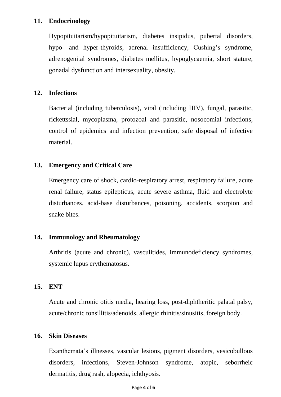#### **11. Endocrinology**

Hypopituitarism/hypopituitarism, diabetes insipidus, pubertal disorders, hypo- and hyper-thyroids, adrenal insufficiency, Cushing's syndrome, adrenogenital syndromes, diabetes mellitus, hypoglycaemia, short stature, gonadal dysfunction and intersexuality, obesity.

#### **12. Infections**

Bacterial (including tuberculosis), viral (including HIV), fungal, parasitic, rickettssial, mycoplasma, protozoal and parasitic, nosocomial infections, control of epidemics and infection prevention, safe disposal of infective material.

#### **13. Emergency and Critical Care**

Emergency care of shock, cardio-respiratory arrest, respiratory failure, acute renal failure, status epilepticus, acute severe asthma, fluid and electrolyte disturbances, acid-base disturbances, poisoning, accidents, scorpion and snake bites.

#### **14. Immunology and Rheumatology**

Arthritis (acute and chronic), vasculitides, immunodeficiency syndromes, systemic lupus erythematosus.

#### **15. ENT**

Acute and chronic otitis media, hearing loss, post-diphtheritic palatal palsy, acute/chronic tonsillitis/adenoids, allergic rhinitis/sinusitis, foreign body.

#### **16. Skin Diseases**

Exanthemata's illnesses, vascular lesions, pigment disorders, vesicobullous disorders, infections, Steven-Johnson syndrome, atopic, seborrheic dermatitis, drug rash, alopecia, ichthyosis.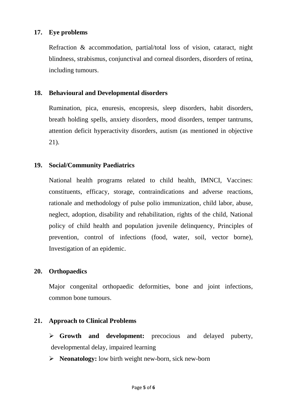#### **17. Eye problems**

Refraction & accommodation, partial/total loss of vision, cataract, night blindness, strabismus, conjunctival and corneal disorders, disorders of retina, including tumours.

#### **18. Behavioural and Developmental disorders**

Rumination, pica, enuresis, encopresis, sleep disorders, habit disorders, breath holding spells, anxiety disorders, mood disorders, temper tantrums, attention deficit hyperactivity disorders, autism (as mentioned in objective 21).

#### **19. Social/Community Paediatrics**

National health programs related to child health, IMNCI, Vaccines: constituents, efficacy, storage, contraindications and adverse reactions, rationale and methodology of pulse polio immunization, child labor, abuse, neglect, adoption, disability and rehabilitation, rights of the child, National policy of child health and population juvenile delinquency, Principles of prevention, control of infections (food, water, soil, vector borne), Investigation of an epidemic.

#### **20. Orthopaedics**

Major congenital orthopaedic deformities, bone and joint infections, common bone tumours.

#### **21. Approach to Clinical Problems**

 **Growth and development:** precocious and delayed puberty, developmental delay, impaired learning

**Neonatology:** low birth weight new-born, sick new-born